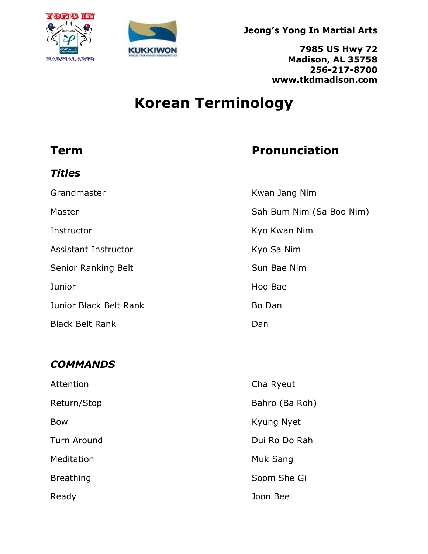



**7985 US Hwy 72 Madison, AL 35758 256-217-8700 www.tkdmadison.com**

# **Korean Terminology**

| <b>Term</b>                 | <b>Pronunciation</b>     |
|-----------------------------|--------------------------|
| <b>Titles</b>               |                          |
| Grandmaster                 | Kwan Jang Nim            |
| Master                      | Sah Bum Nim (Sa Boo Nim) |
| Instructor                  | Kyo Kwan Nim             |
| <b>Assistant Instructor</b> | Kyo Sa Nim               |
| Senior Ranking Belt         | Sun Bae Nim              |
| Junior                      | Hoo Bae                  |
| Junior Black Belt Rank      | Bo Dan                   |
| <b>Black Belt Rank</b>      | Dan                      |
|                             |                          |
| <b>COMMANDS</b>             |                          |
| Attention                   | Cha Ryeut                |
| Return/Stop                 | Bahro (Ba Roh)           |
| <b>Bow</b>                  | Kyung Nyet               |
| <b>Turn Around</b>          | Dui Ro Do Rah            |
| Meditation                  | Muk Sang                 |
| <b>Breathing</b>            | Soom She Gi              |
| Ready                       | Joon Bee                 |
|                             |                          |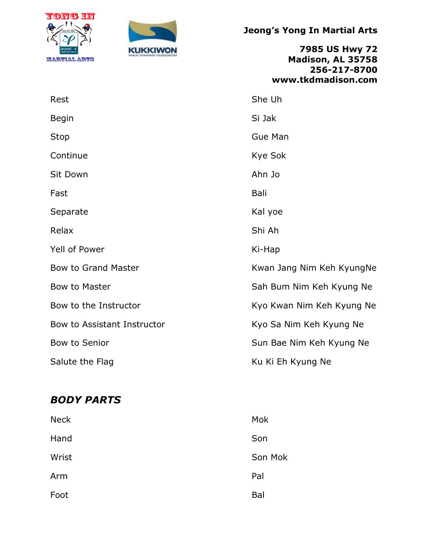



**7985 US Hwy 72 Madison, AL 35758 256-217-8700 www.tkdmadison.com**

| Rest                        | She Uh                    |
|-----------------------------|---------------------------|
| <b>Begin</b>                | Si Jak                    |
| Stop                        | <b>Gue Man</b>            |
| Continue                    | Kye Sok                   |
| Sit Down                    | Ahn Jo                    |
| Fast                        | <b>Bali</b>               |
| Separate                    | Kal yoe                   |
| Relax                       | Shi Ah                    |
| Yell of Power               | Ki-Hap                    |
| <b>Bow to Grand Master</b>  | Kwan Jang Nim Keh KyungNe |
| Bow to Master               | Sah Bum Nim Keh Kyung Ne  |
| Bow to the Instructor       | Kyo Kwan Nim Keh Kyung Ne |
| Bow to Assistant Instructor | Kyo Sa Nim Keh Kyung Ne   |
| Bow to Senior               | Sun Bae Nim Keh Kyung Ne  |
| Salute the Flag             | Ku Ki Eh Kyung Ne         |

### *BODY PARTS*

| <b>Neck</b> | Mok     |
|-------------|---------|
| Hand        | Son     |
| Wrist       | Son Mok |
| Arm         | Pal     |
| Foot        | Bal     |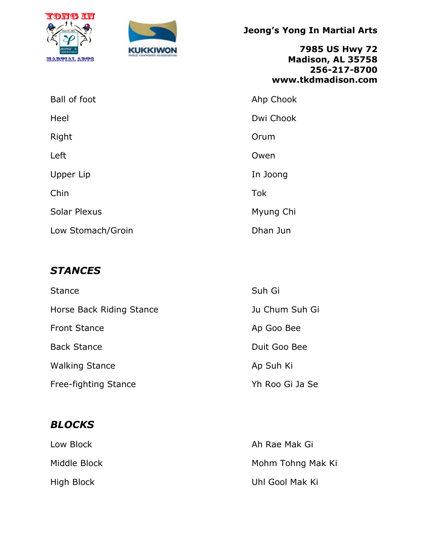



**7985 US Hwy 72 Madison, AL 35758 256-217-8700 www.tkdmadison.com**

| Ball of foot        | Ahp Chook  |
|---------------------|------------|
| Heel                | Dwi Chook  |
| Right               | Orum       |
| Left                | Owen       |
| Upper Lip           | In Joong   |
| Chin                | <b>Tok</b> |
| <b>Solar Plexus</b> | Myung Chi  |
| Low Stomach/Groin   | Dhan Jun   |

## *STANCES*

| <b>Stance</b>            | Suh Gi          |
|--------------------------|-----------------|
| Horse Back Riding Stance | Ju Chum Suh Gi  |
| <b>Front Stance</b>      | Ap Goo Bee      |
| <b>Back Stance</b>       | Duit Goo Bee    |
| <b>Walking Stance</b>    | Ap Suh Ki       |
| Free-fighting Stance     | Yh Roo Gi Ja Se |

## *BLOCKS*

| Low Block    | Ah Rae Mak Gi     |
|--------------|-------------------|
| Middle Block | Mohm Tohng Mak Ki |
| High Block   | Uhl Gool Mak Ki   |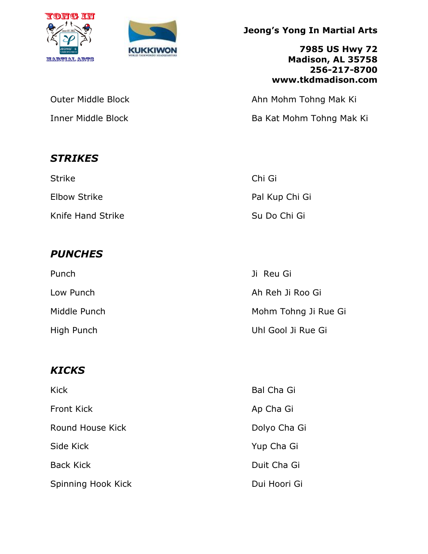



**7985 US Hwy 72 Madison, AL 35758 256-217-8700 www.tkdmadison.com**

Outer Middle Block **Ahn Mohm Tohng Mak Ki** 

Inner Middle Block **Ba Kat Mohm Tohng Mak Ki** 

| Strike            | Chi Gi         |
|-------------------|----------------|
| Elbow Strike      | Pal Kup Chi Gi |
| Knife Hand Strike | Su Do Chi Gi   |

# *PUNCHES*

*STRIKES*

| Punch        | Ji Reu Gi            |
|--------------|----------------------|
| Low Punch    | Ah Reh Ji Roo Gi     |
| Middle Punch | Mohm Tohng Ji Rue Gi |
| High Punch   | Uhl Gool Ji Rue Gi   |

# *KICKS*

| <b>Kick</b>        | <b>Bal Cha Gi</b> |
|--------------------|-------------------|
| <b>Front Kick</b>  | Ap Cha Gi         |
| Round House Kick   | Dolyo Cha Gi      |
| Side Kick          | Yup Cha Gi        |
| <b>Back Kick</b>   | Duit Cha Gi       |
| Spinning Hook Kick | Dui Hoori Gi      |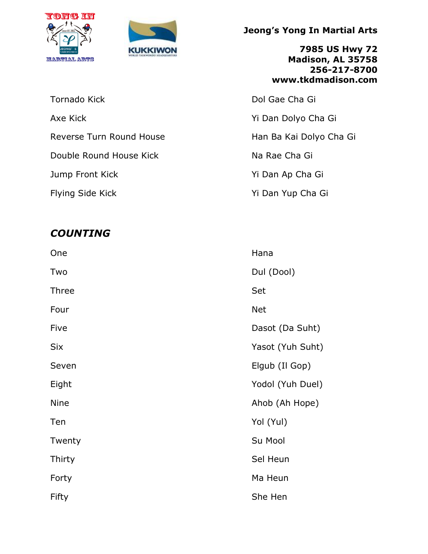



Tornado Kick **Dol Gae Cha Gi** Axe Kick The Channel Control of the Yi Dan Dolyo Cha Gi Reverse Turn Round House **Han Ba Kai Dolyo Cha Gi** Double Round House Kick Na Rae Cha Gi Jump Front Kick Yi Dan Ap Cha Gi

# *COUNTING*

**Jeong's Yong In Martial Arts**

**7985 US Hwy 72 Madison, AL 35758 256-217-8700 www.tkdmadison.com**

Flying Side Kick The State of the Yi Dan Yup Cha Gi

| One         | Hana             |
|-------------|------------------|
| Two         | Dul (Dool)       |
| Three       | Set              |
| Four        | <b>Net</b>       |
| Five        | Dasot (Da Suht)  |
| Six         | Yasot (Yuh Suht) |
| Seven       | Elgub (Il Gop)   |
| Eight       | Yodol (Yuh Duel) |
| <b>Nine</b> | Ahob (Ah Hope)   |
| Ten         | Yol (Yul)        |
| Twenty      | Su Mool          |
| Thirty      | Sel Heun         |
| Forty       | Ma Heun          |
| Fifty       | She Hen          |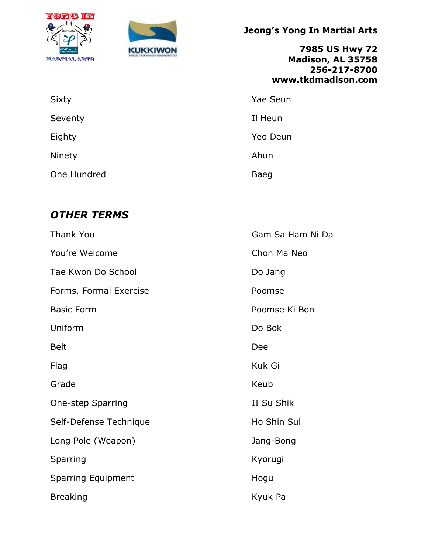



**7985 US Hwy 72 Madison, AL 35758 256-217-8700 www.tkdmadison.com**

| Sixty       | <b>Yae Seun</b> |
|-------------|-----------------|
| Seventy     | Il Heun         |
| Eighty      | Yeo Deun        |
| Ninety      | Ahun            |
| One Hundred | Baeg            |

## *OTHER TERMS*

| <b>Thank You</b>          | Gam Sa Ham Ni Da |
|---------------------------|------------------|
| You're Welcome            | Chon Ma Neo      |
| Tae Kwon Do School        | Do Jang          |
| Forms, Formal Exercise    | Poomse           |
| <b>Basic Form</b>         | Poomse Ki Bon    |
| Uniform                   | Do Bok           |
| <b>Belt</b>               | Dee              |
| Flag                      | Kuk Gi           |
| Grade                     | Keub             |
| <b>One-step Sparring</b>  | II Su Shik       |
| Self-Defense Technique    | Ho Shin Sul      |
| Long Pole (Weapon)        | Jang-Bong        |
| Sparring                  | Kyorugi          |
| <b>Sparring Equipment</b> | Hogu             |
| <b>Breaking</b>           | Kyuk Pa          |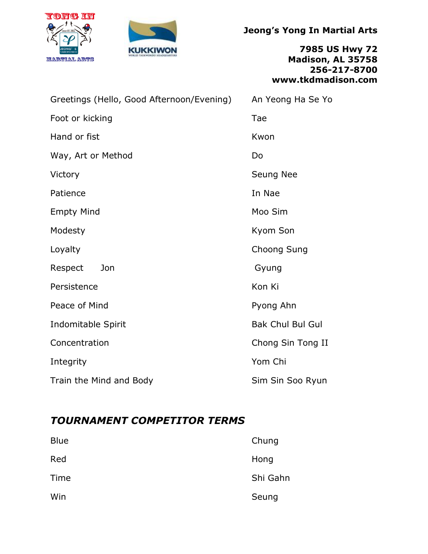



**7985 US Hwy 72 Madison, AL 35758 256-217-8700 www.tkdmadison.com**

| Greetings (Hello, Good Afternoon/Evening) | An Yeong Ha Se Yo       |
|-------------------------------------------|-------------------------|
| Foot or kicking                           | Tae                     |
| Hand or fist                              | Kwon                    |
| Way, Art or Method                        | Do                      |
| Victory                                   | Seung Nee               |
| Patience                                  | In Nae                  |
| <b>Empty Mind</b>                         | Moo Sim                 |
| Modesty                                   | Kyom Son                |
| Loyalty                                   | Choong Sung             |
| Jon<br>Respect                            | Gyung                   |
| Persistence                               | Kon Ki                  |
| Peace of Mind                             | Pyong Ahn               |
| Indomitable Spirit                        | <b>Bak Chul Bul Gul</b> |
| Concentration                             | Chong Sin Tong II       |
| Integrity                                 | Yom Chi                 |
| Train the Mind and Body                   | Sim Sin Soo Ryun        |

### *TOURNAMENT COMPETITOR TERMS*

| <b>Blue</b> | Chung    |
|-------------|----------|
| Red         | Hong     |
| Time        | Shi Gahn |
| Win         | Seung    |